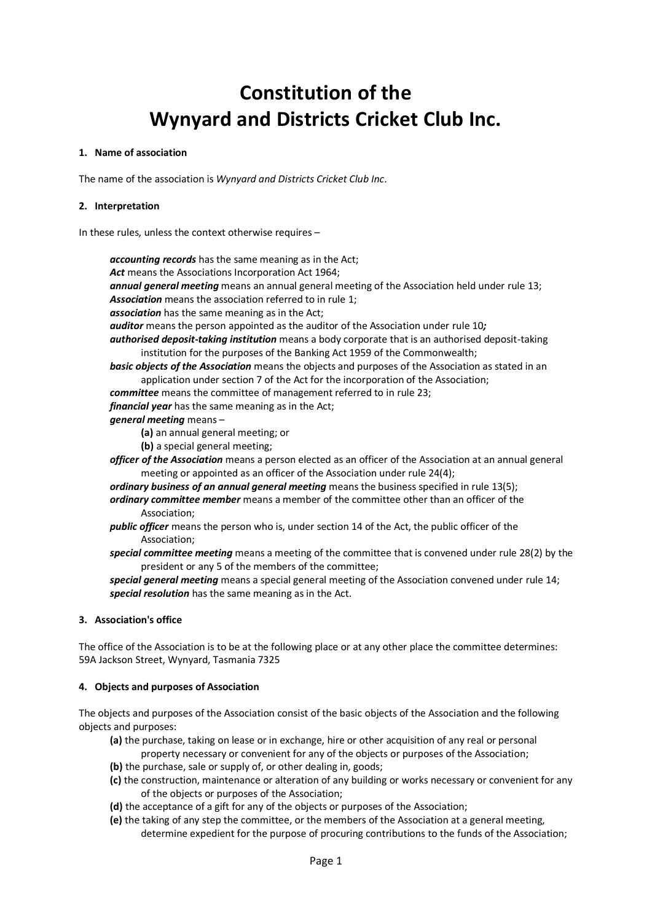# **Constitution of the Wynyard and Districts Cricket Club Inc.**

#### **1. Name of association**

The name of the association is *Wynyard and Districts Cricket Club Inc*.

### **2. Interpretation**

In these rules, unless the context otherwise requires –

*accounting records* has the same meaning as in the Act; *Act* means the Associations Incorporation Act 1964; *annual general meeting* means an annual general meeting of the Association held under rule 13; *Association* means the association referred to in rule 1; *association* has the same meaning as in the Act; *auditor* means the person appointed as the auditor of the Association under rule 10*; authorised deposit-taking institution* means a body corporate that is an authorised deposit-taking institution for the purposes of the Banking Act 1959 of the Commonwealth; *basic objects of the Association* means the objects and purposes of the Association as stated in an application under section 7 of the Act for the incorporation of the Association; *committee* means the committee of management referred to in rule 23; *financial year* has the same meaning as in the Act; *general meeting* means – **(a)** an annual general meeting; or **(b)** a special general meeting; *officer of the Association* means a person elected as an officer of the Association at an annual general meeting or appointed as an officer of the Association under rule 24(4); *ordinary business of an annual general meeting* means the business specified in rule 13(5); *ordinary committee member* means a member of the committee other than an officer of the Association; *public officer* means the person who is, under section 14 of the Act, the public officer of the Association; *special committee meeting* means a meeting of the committee that is convened under rule 28(2) by the president or any 5 of the members of the committee; *special general meeting* means a special general meeting of the Association convened under rule 14; *special resolution* has the same meaning as in the Act.

## **3. Association's office**

The office of the Association is to be at the following place or at any other place the committee determines: 59A Jackson Street, Wynyard, Tasmania 7325

#### **4. Objects and purposes of Association**

The objects and purposes of the Association consist of the basic objects of the Association and the following objects and purposes:

- **(a)** the purchase, taking on lease or in exchange, hire or other acquisition of any real or personal property necessary or convenient for any of the objects or purposes of the Association;
- **(b)** the purchase, sale or supply of, or other dealing in, goods;
- **(c)** the construction, maintenance or alteration of any building or works necessary or convenient for any of the objects or purposes of the Association;
- **(d)** the acceptance of a gift for any of the objects or purposes of the Association;
- **(e)** the taking of any step the committee, or the members of the Association at a general meeting, determine expedient for the purpose of procuring contributions to the funds of the Association;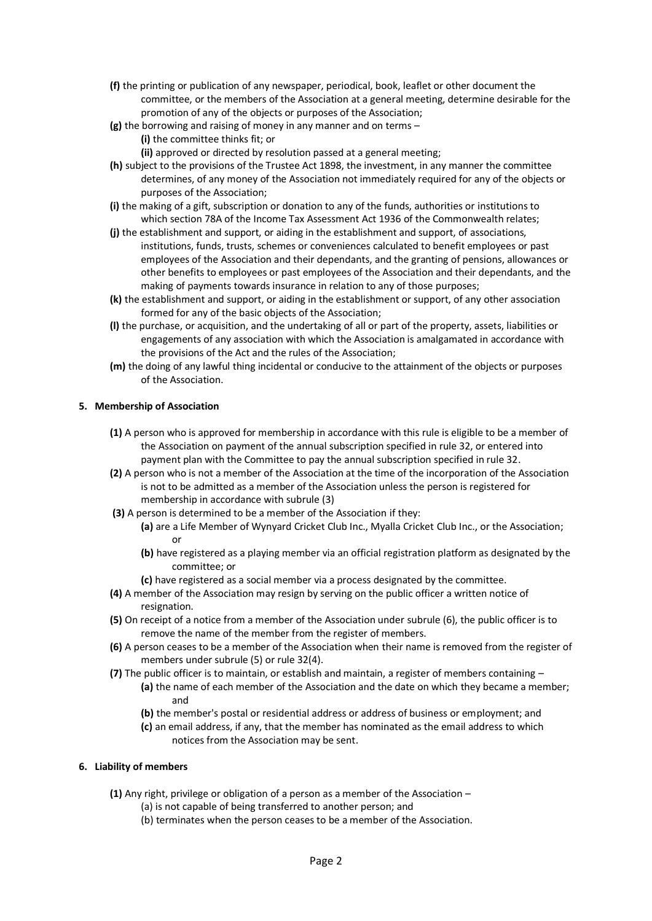- **(f)** the printing or publication of any newspaper, periodical, book, leaflet or other document the committee, or the members of the Association at a general meeting, determine desirable for the promotion of any of the objects or purposes of the Association;
- **(g)** the borrowing and raising of money in any manner and on terms **(i)** the committee thinks fit; or
- **(ii)** approved or directed by resolution passed at a general meeting; **(h)** subject to the provisions of the Trustee Act 1898, the investment, in any manner the committee
- determines, of any money of the Association not immediately required for any of the objects or purposes of the Association;
- **(i)** the making of a gift, subscription or donation to any of the funds, authorities or institutions to which section 78A of the Income Tax Assessment Act 1936 of the Commonwealth relates;
- **(j)** the establishment and support, or aiding in the establishment and support, of associations, institutions, funds, trusts, schemes or conveniences calculated to benefit employees or past employees of the Association and their dependants, and the granting of pensions, allowances or other benefits to employees or past employees of the Association and their dependants, and the making of payments towards insurance in relation to any of those purposes;
- **(k)** the establishment and support, or aiding in the establishment or support, of any other association formed for any of the basic objects of the Association;
- **(l)** the purchase, or acquisition, and the undertaking of all or part of the property, assets, liabilities or engagements of any association with which the Association is amalgamated in accordance with the provisions of the Act and the rules of the Association;
- **(m)** the doing of any lawful thing incidental or conducive to the attainment of the objects or purposes of the Association.

# **5. Membership of Association**

- **(1)** A person who is approved for membership in accordance with this rule is eligible to be a member of the Association on payment of the annual subscription specified in rule 32, or entered into payment plan with the Committee to pay the annual subscription specified in rule 32.
- **(2)** A person who is not a member of the Association at the time of the incorporation of the Association is not to be admitted as a member of the Association unless the person is registered for membership in accordance with subrule (3)
- **(3)** A person is determined to be a member of the Association if they:
	- **(a)** are a Life Member of Wynyard Cricket Club Inc., Myalla Cricket Club Inc., or the Association; or
	- **(b)** have registered as a playing member via an official registration platform as designated by the committee; or
	- **(c)** have registered as a social member via a process designated by the committee.
- **(4)** A member of the Association may resign by serving on the public officer a written notice of resignation.
- **(5)** On receipt of a notice from a member of the Association under subrule (6), the public officer is to remove the name of the member from the register of members.
- **(6)** A person ceases to be a member of the Association when their name is removed from the register of members under subrule (5) or rule 32(4).
- **(7)** The public officer is to maintain, or establish and maintain, a register of members containing
	- **(a)** the name of each member of the Association and the date on which they became a member; and
	- **(b)** the member's postal or residential address or address of business or employment; and
	- **(c)** an email address, if any, that the member has nominated as the email address to which notices from the Association may be sent.

## **6. Liability of members**

- **(1)** Any right, privilege or obligation of a person as a member of the Association
	- (a) is not capable of being transferred to another person; and
	- (b) terminates when the person ceases to be a member of the Association.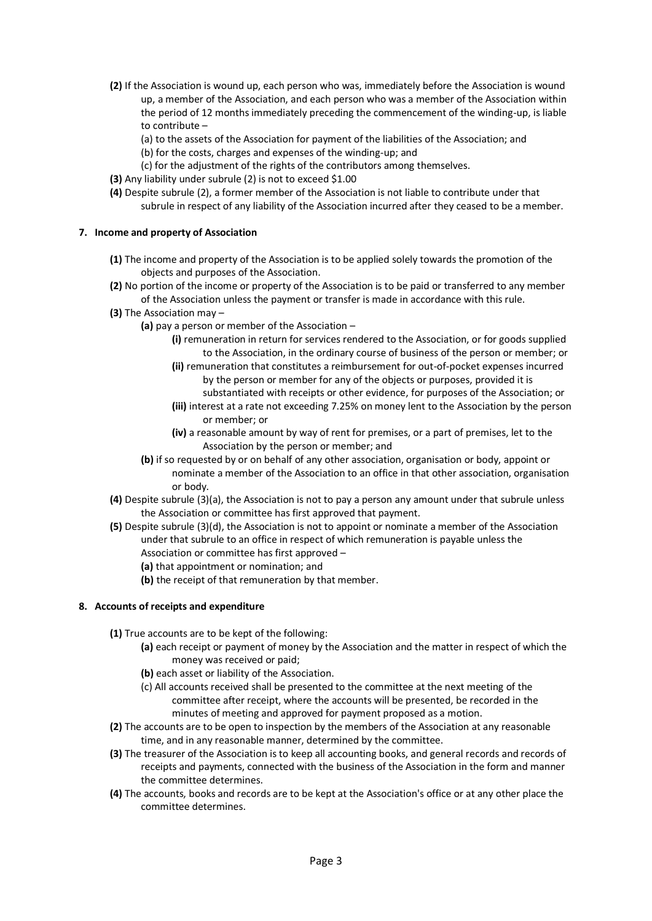- **(2)** If the Association is wound up, each person who was, immediately before the Association is wound up, a member of the Association, and each person who was a member of the Association within the period of 12 months immediately preceding the commencement of the winding-up, is liable to contribute –
	- (a) to the assets of the Association for payment of the liabilities of the Association; and
	- (b) for the costs, charges and expenses of the winding-up; and
	- (c) for the adjustment of the rights of the contributors among themselves.
- **(3)** Any liability under subrule (2) is not to exceed \$1.00
- **(4)** Despite subrule (2), a former member of the Association is not liable to contribute under that subrule in respect of any liability of the Association incurred after they ceased to be a member.

#### **7. Income and property of Association**

- **(1)** The income and property of the Association is to be applied solely towards the promotion of the objects and purposes of the Association.
- **(2)** No portion of the income or property of the Association is to be paid or transferred to any member of the Association unless the payment or transfer is made in accordance with this rule.
- **(3)** The Association may
	- **(a)** pay a person or member of the Association
		- **(i)** remuneration in return for services rendered to the Association, or for goods supplied to the Association, in the ordinary course of business of the person or member; or
		- **(ii)** remuneration that constitutes a reimbursement for out-of-pocket expenses incurred by the person or member for any of the objects or purposes, provided it is substantiated with receipts or other evidence, for purposes of the Association; or
		- **(iii)** interest at a rate not exceeding 7.25% on money lent to the Association by the person or member; or
		- **(iv)** a reasonable amount by way of rent for premises, or a part of premises, let to the Association by the person or member; and
	- **(b)** if so requested by or on behalf of any other association, organisation or body, appoint or nominate a member of the Association to an office in that other association, organisation or body.
- **(4)** Despite subrule (3)(a), the Association is not to pay a person any amount under that subrule unless the Association or committee has first approved that payment.
- **(5)** Despite subrule (3)(d), the Association is not to appoint or nominate a member of the Association under that subrule to an office in respect of which remuneration is payable unless the Association or committee has first approved –
	- **(a)** that appointment or nomination; and
	- **(b)** the receipt of that remuneration by that member.

#### **8. Accounts of receipts and expenditure**

- **(1)** True accounts are to be kept of the following:
	- **(a)** each receipt or payment of money by the Association and the matter in respect of which the money was received or paid;
	- **(b)** each asset or liability of the Association.
	- (c) All accounts received shall be presented to the committee at the next meeting of the committee after receipt, where the accounts will be presented, be recorded in the minutes of meeting and approved for payment proposed as a motion.
- **(2)** The accounts are to be open to inspection by the members of the Association at any reasonable time, and in any reasonable manner, determined by the committee.
- **(3)** The treasurer of the Association is to keep all accounting books, and general records and records of receipts and payments, connected with the business of the Association in the form and manner the committee determines.
- **(4)** The accounts, books and records are to be kept at the Association's office or at any other place the committee determines.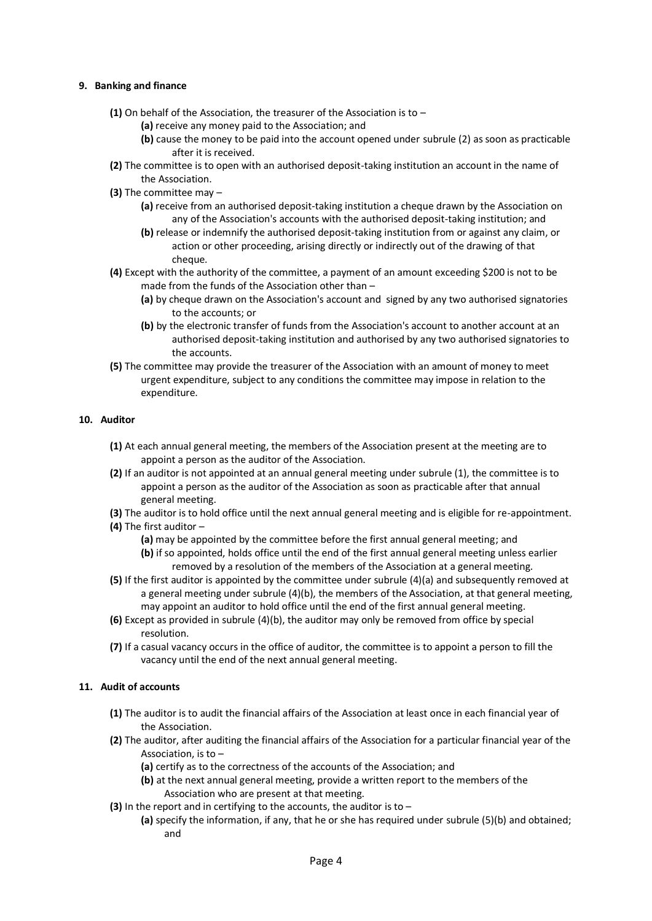#### **9. Banking and finance**

- **(1)** On behalf of the Association, the treasurer of the Association is to
	- **(a)** receive any money paid to the Association; and
	- **(b)** cause the money to be paid into the account opened under subrule (2) as soon as practicable after it is received.
- **(2)** The committee is to open with an authorised deposit-taking institution an account in the name of the Association.
- **(3)** The committee may
	- **(a)** receive from an authorised deposit-taking institution a cheque drawn by the Association on any of the Association's accounts with the authorised deposit-taking institution; and
	- **(b)** release or indemnify the authorised deposit-taking institution from or against any claim, or action or other proceeding, arising directly or indirectly out of the drawing of that cheque.
- **(4)** Except with the authority of the committee, a payment of an amount exceeding \$200 is not to be made from the funds of the Association other than –
	- **(a)** by cheque drawn on the Association's account and signed by any two authorised signatories to the accounts; or
	- **(b)** by the electronic transfer of funds from the Association's account to another account at an authorised deposit-taking institution and authorised by any two authorised signatories to the accounts.
- **(5)** The committee may provide the treasurer of the Association with an amount of money to meet urgent expenditure, subject to any conditions the committee may impose in relation to the expenditure.

#### **10. Auditor**

- **(1)** At each annual general meeting, the members of the Association present at the meeting are to appoint a person as the auditor of the Association.
- **(2)** If an auditor is not appointed at an annual general meeting under subrule (1), the committee is to appoint a person as the auditor of the Association as soon as practicable after that annual general meeting.
- **(3)** The auditor is to hold office until the next annual general meeting and is eligible for re-appointment.
- **(4)** The first auditor
	- **(a)** may be appointed by the committee before the first annual general meeting; and
	- **(b)** if so appointed, holds office until the end of the first annual general meeting unless earlier removed by a resolution of the members of the Association at a general meeting.
- **(5)** If the first auditor is appointed by the committee under subrule (4)(a) and subsequently removed at a general meeting under subrule (4)(b), the members of the Association, at that general meeting, may appoint an auditor to hold office until the end of the first annual general meeting.
- **(6)** Except as provided in subrule (4)(b), the auditor may only be removed from office by special resolution.
- **(7)** If a casual vacancy occurs in the office of auditor, the committee is to appoint a person to fill the vacancy until the end of the next annual general meeting.

#### **11. Audit of accounts**

- **(1)** The auditor is to audit the financial affairs of the Association at least once in each financial year of the Association.
- **(2)** The auditor, after auditing the financial affairs of the Association for a particular financial year of the Association, is to –
	- **(a)** certify as to the correctness of the accounts of the Association; and
	- **(b)** at the next annual general meeting, provide a written report to the members of the Association who are present at that meeting.
- **(3)** In the report and in certifying to the accounts, the auditor is to
	- **(a)** specify the information, if any, that he or she has required under subrule (5)(b) and obtained; and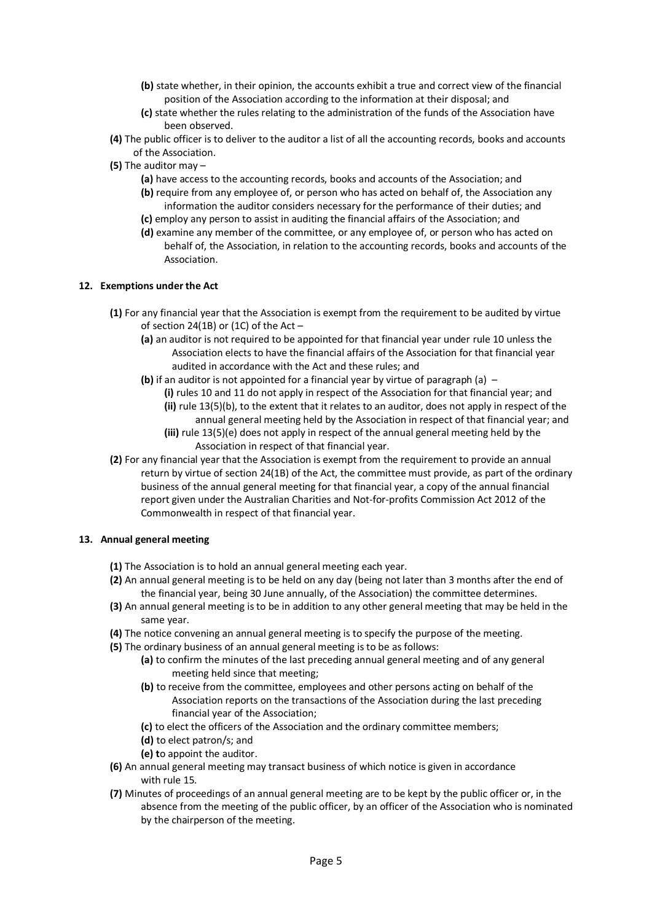- **(b)** state whether, in their opinion, the accounts exhibit a true and correct view of the financial position of the Association according to the information at their disposal; and
- **(c)** state whether the rules relating to the administration of the funds of the Association have been observed.
- **(4)** The public officer is to deliver to the auditor a list of all the accounting records, books and accounts of the Association.
- **(5)** The auditor may
	- **(a)** have access to the accounting records, books and accounts of the Association; and
	- **(b)** require from any employee of, or person who has acted on behalf of, the Association any information the auditor considers necessary for the performance of their duties; and
	- **(c)** employ any person to assist in auditing the financial affairs of the Association; and
	- **(d)** examine any member of the committee, or any employee of, or person who has acted on behalf of, the Association, in relation to the accounting records, books and accounts of the Association.

#### **12. Exemptions under the Act**

- **(1)** For any financial year that the Association is exempt from the requirement to be audited by virtue of section 24(1B) or (1C) of the Act  $-$ 
	- **(a)** an auditor is not required to be appointed for that financial year under rule 10 unless the Association elects to have the financial affairs of the Association for that financial year audited in accordance with the Act and these rules; and
	- **(b)** if an auditor is not appointed for a financial year by virtue of paragraph (a)
		- **(i)** rules 10 and 11 do not apply in respect of the Association for that financial year; and **(ii)** rule 13(5)(b), to the extent that it relates to an auditor, does not apply in respect of the annual general meeting held by the Association in respect of that financial year; and
		- **(iii)** rule 13(5)(e) does not apply in respect of the annual general meeting held by the Association in respect of that financial year.
- **(2)** For any financial year that the Association is exempt from the requirement to provide an annual return by virtue of section 24(1B) of the Act, the committee must provide, as part of the ordinary business of the annual general meeting for that financial year, a copy of the annual financial report given under the Australian Charities and Not-for-profits Commission Act 2012 of the Commonwealth in respect of that financial year.

#### **13. Annual general meeting**

- **(1)** The Association is to hold an annual general meeting each year.
- **(2)** An annual general meeting is to be held on any day (being not later than 3 months after the end of the financial year, being 30 June annually, of the Association) the committee determines.
- **(3)** An annual general meeting is to be in addition to any other general meeting that may be held in the same year.
- **(4)** The notice convening an annual general meeting is to specify the purpose of the meeting.
- **(5)** The ordinary business of an annual general meeting is to be as follows:
	- **(a)** to confirm the minutes of the last preceding annual general meeting and of any general meeting held since that meeting;
	- **(b)** to receive from the committee, employees and other persons acting on behalf of the Association reports on the transactions of the Association during the last preceding financial year of the Association;
	- **(c)** to elect the officers of the Association and the ordinary committee members;
	- **(d)** to elect patron/s; and
	- **(e) t**o appoint the auditor.
- **(6)** An annual general meeting may transact business of which notice is given in accordance with rule 15.
- **(7)** Minutes of proceedings of an annual general meeting are to be kept by the public officer or, in the absence from the meeting of the public officer, by an officer of the Association who is nominated by the chairperson of the meeting.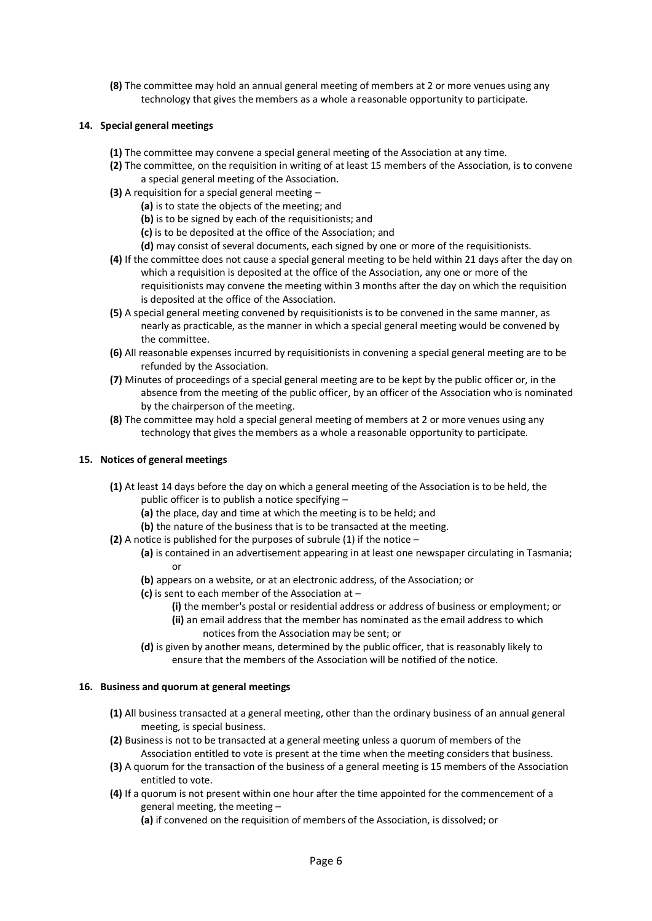**(8)** The committee may hold an annual general meeting of members at 2 or more venues using any technology that gives the members as a whole a reasonable opportunity to participate.

## **14. Special general meetings**

- **(1)** The committee may convene a special general meeting of the Association at any time.
- **(2)** The committee, on the requisition in writing of at least 15 members of the Association, is to convene a special general meeting of the Association.
- **(3)** A requisition for a special general meeting
	- **(a)** is to state the objects of the meeting; and
	- **(b)** is to be signed by each of the requisitionists; and
	- **(c)** is to be deposited at the office of the Association; and
	- **(d)** may consist of several documents, each signed by one or more of the requisitionists.
- **(4)** If the committee does not cause a special general meeting to be held within 21 days after the day on which a requisition is deposited at the office of the Association, any one or more of the requisitionists may convene the meeting within 3 months after the day on which the requisition is deposited at the office of the Association.
- **(5)** A special general meeting convened by requisitionists is to be convened in the same manner, as nearly as practicable, as the manner in which a special general meeting would be convened by the committee.
- **(6)** All reasonable expenses incurred by requisitionists in convening a special general meeting are to be refunded by the Association.
- **(7)** Minutes of proceedings of a special general meeting are to be kept by the public officer or, in the absence from the meeting of the public officer, by an officer of the Association who is nominated by the chairperson of the meeting.
- **(8)** The committee may hold a special general meeting of members at 2 or more venues using any technology that gives the members as a whole a reasonable opportunity to participate.

### **15. Notices of general meetings**

- **(1)** At least 14 days before the day on which a general meeting of the Association is to be held, the public officer is to publish a notice specifying –
	- **(a)** the place, day and time at which the meeting is to be held; and
	- **(b)** the nature of the business that is to be transacted at the meeting.
- **(2)** A notice is published for the purposes of subrule (1) if the notice
	- **(a)** is contained in an advertisement appearing in at least one newspaper circulating in Tasmania; or
	- **(b)** appears on a website, or at an electronic address, of the Association; or
	- **(c)** is sent to each member of the Association at
		- **(i)** the member's postal or residential address or address of business or employment; or
		- **(ii)** an email address that the member has nominated as the email address to which notices from the Association may be sent; or
	- **(d)** is given by another means, determined by the public officer, that is reasonably likely to ensure that the members of the Association will be notified of the notice.

#### **16. Business and quorum at general meetings**

- **(1)** All business transacted at a general meeting, other than the ordinary business of an annual general meeting, is special business.
- **(2)** Business is not to be transacted at a general meeting unless a quorum of members of the Association entitled to vote is present at the time when the meeting considers that business.
- **(3)** A quorum for the transaction of the business of a general meeting is 15 members of the Association entitled to vote.
- **(4)** If a quorum is not present within one hour after the time appointed for the commencement of a general meeting, the meeting –
	- **(a)** if convened on the requisition of members of the Association, is dissolved; or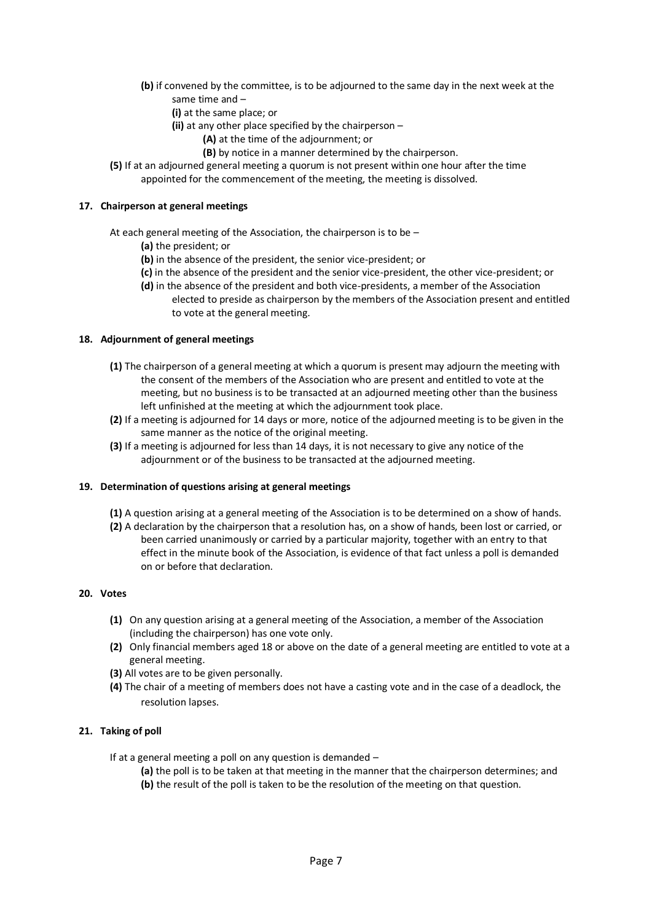- **(b)** if convened by the committee, is to be adjourned to the same day in the next week at the same time and –
	- **(i)** at the same place; or
	- **(ii)** at any other place specified by the chairperson
		- **(A)** at the time of the adjournment; or
		- **(B)** by notice in a manner determined by the chairperson.
- **(5)** If at an adjourned general meeting a quorum is not present within one hour after the time appointed for the commencement of the meeting, the meeting is dissolved.

#### **17. Chairperson at general meetings**

At each general meeting of the Association, the chairperson is to be –

- **(a)** the president; or
- **(b)** in the absence of the president, the senior vice-president; or
- **(c)** in the absence of the president and the senior vice-president, the other vice-president; or
- **(d)** in the absence of the president and both vice-presidents, a member of the Association elected to preside as chairperson by the members of the Association present and entitled to vote at the general meeting.

#### **18. Adjournment of general meetings**

- **(1)** The chairperson of a general meeting at which a quorum is present may adjourn the meeting with the consent of the members of the Association who are present and entitled to vote at the meeting, but no business is to be transacted at an adjourned meeting other than the business left unfinished at the meeting at which the adjournment took place.
- **(2)** If a meeting is adjourned for 14 days or more, notice of the adjourned meeting is to be given in the same manner as the notice of the original meeting.
- **(3)** If a meeting is adjourned for less than 14 days, it is not necessary to give any notice of the adjournment or of the business to be transacted at the adjourned meeting.

#### **19. Determination of questions arising at general meetings**

- **(1)** A question arising at a general meeting of the Association is to be determined on a show of hands.
- **(2)** A declaration by the chairperson that a resolution has, on a show of hands, been lost or carried, or been carried unanimously or carried by a particular majority, together with an entry to that effect in the minute book of the Association, is evidence of that fact unless a poll is demanded on or before that declaration.

#### **20. Votes**

- **(1)** On any question arising at a general meeting of the Association, a member of the Association (including the chairperson) has one vote only.
- **(2)** Only financial members aged 18 or above on the date of a general meeting are entitled to vote at a general meeting.
- **(3)** All votes are to be given personally.
- **(4)** The chair of a meeting of members does not have a casting vote and in the case of a deadlock, the resolution lapses.

#### **21. Taking of poll**

If at a general meeting a poll on any question is demanded –

**(a)** the poll is to be taken at that meeting in the manner that the chairperson determines; and **(b)** the result of the poll is taken to be the resolution of the meeting on that question.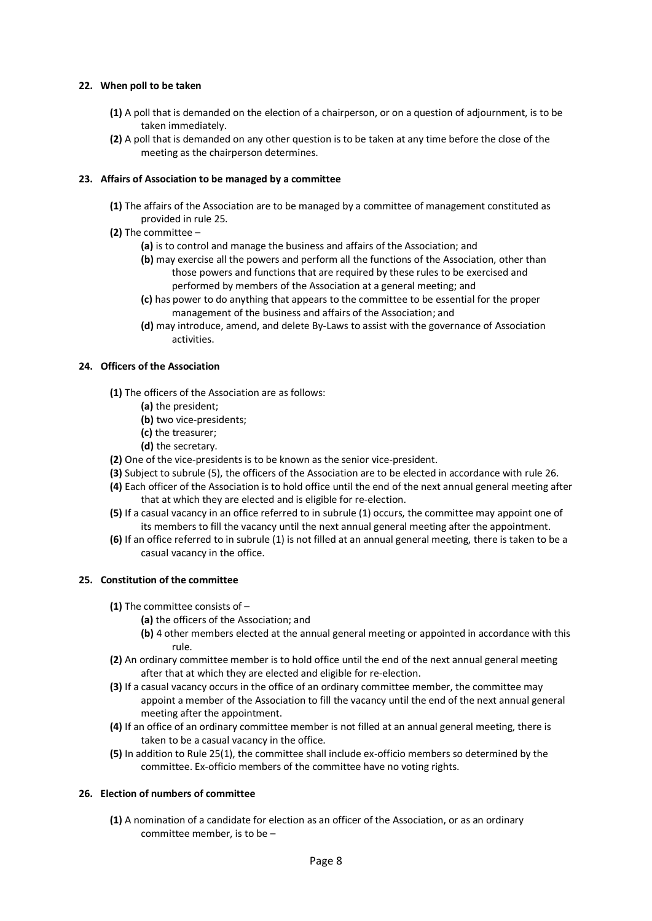### **22. When poll to be taken**

- **(1)** A poll that is demanded on the election of a chairperson, or on a question of adjournment, is to be taken immediately.
- **(2)** A poll that is demanded on any other question is to be taken at any time before the close of the meeting as the chairperson determines.

## **23. Affairs of Association to be managed by a committee**

- **(1)** The affairs of the Association are to be managed by a committee of management constituted as provided in rule 25.
- **(2)** The committee
	- **(a)** is to control and manage the business and affairs of the Association; and
	- **(b)** may exercise all the powers and perform all the functions of the Association, other than those powers and functions that are required by these rules to be exercised and performed by members of the Association at a general meeting; and
	- **(c)** has power to do anything that appears to the committee to be essential for the proper management of the business and affairs of the Association; and
	- **(d)** may introduce, amend, and delete By-Laws to assist with the governance of Association activities.

#### **24. Officers of the Association**

- **(1)** The officers of the Association are as follows:
	- **(a)** the president;
	- **(b)** two vice-presidents;
	- **(c)** the treasurer;
	- **(d)** the secretary.
- **(2)** One of the vice-presidents is to be known as the senior vice-president.
- **(3)** Subject to subrule (5), the officers of the Association are to be elected in accordance with rule 26.
- **(4)** Each officer of the Association is to hold office until the end of the next annual general meeting after that at which they are elected and is eligible for re-election.
- **(5)** If a casual vacancy in an office referred to in subrule (1) occurs, the committee may appoint one of its members to fill the vacancy until the next annual general meeting after the appointment.
- **(6)** If an office referred to in subrule (1) is not filled at an annual general meeting, there is taken to be a casual vacancy in the office.

#### **25. Constitution of the committee**

- **(1)** The committee consists of
	- **(a)** the officers of the Association; and
	- **(b)** 4 other members elected at the annual general meeting or appointed in accordance with this rule.
- **(2)** An ordinary committee member is to hold office until the end of the next annual general meeting after that at which they are elected and eligible for re-election.
- **(3)** If a casual vacancy occurs in the office of an ordinary committee member, the committee may appoint a member of the Association to fill the vacancy until the end of the next annual general meeting after the appointment.
- **(4)** If an office of an ordinary committee member is not filled at an annual general meeting, there is taken to be a casual vacancy in the office.
- **(5)** In addition to Rule 25(1), the committee shall include ex-officio members so determined by the committee. Ex-officio members of the committee have no voting rights.

#### **26. Election of numbers of committee**

**(1)** A nomination of a candidate for election as an officer of the Association, or as an ordinary committee member, is to be –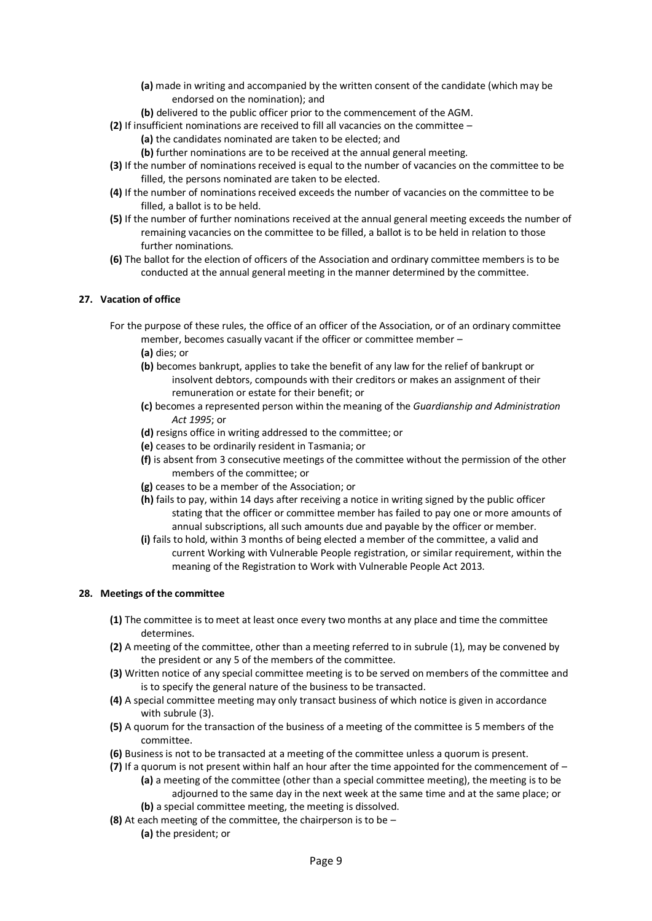- **(a)** made in writing and accompanied by the written consent of the candidate (which may be endorsed on the nomination); and
- **(b)** delivered to the public officer prior to the commencement of the AGM.
- **(2)** If insufficient nominations are received to fill all vacancies on the committee
	- **(a)** the candidates nominated are taken to be elected; and
	- **(b)** further nominations are to be received at the annual general meeting.
- **(3)** If the number of nominations received is equal to the number of vacancies on the committee to be filled, the persons nominated are taken to be elected.
- **(4)** If the number of nominations received exceeds the number of vacancies on the committee to be filled, a ballot is to be held.
- **(5)** If the number of further nominations received at the annual general meeting exceeds the number of remaining vacancies on the committee to be filled, a ballot is to be held in relation to those further nominations.
- **(6)** The ballot for the election of officers of the Association and ordinary committee members is to be conducted at the annual general meeting in the manner determined by the committee.

#### **27. Vacation of office**

- For the purpose of these rules, the office of an officer of the Association, or of an ordinary committee member, becomes casually vacant if the officer or committee member –
	- **(a)** dies; or
	- **(b)** becomes bankrupt, applies to take the benefit of any law for the relief of bankrupt or insolvent debtors, compounds with their creditors or makes an assignment of their remuneration or estate for their benefit; or
	- **(c)** becomes a represented person within the meaning of the *Guardianship and Administration Act 1995*; or
	- **(d)** resigns office in writing addressed to the committee; or
	- **(e)** ceases to be ordinarily resident in Tasmania; or
	- **(f)** is absent from 3 consecutive meetings of the committee without the permission of the other members of the committee; or
	- **(g)** ceases to be a member of the Association; or
	- **(h)** fails to pay, within 14 days after receiving a notice in writing signed by the public officer stating that the officer or committee member has failed to pay one or more amounts of annual subscriptions, all such amounts due and payable by the officer or member.
	- **(i)** fails to hold, within 3 months of being elected a member of the committee, a valid and current Working with Vulnerable People registration, or similar requirement, within the meaning of the Registration to Work with Vulnerable People Act 2013.

#### **28. Meetings of the committee**

- **(1)** The committee is to meet at least once every two months at any place and time the committee determines.
- **(2)** A meeting of the committee, other than a meeting referred to in subrule (1), may be convened by the president or any 5 of the members of the committee.
- **(3)** Written notice of any special committee meeting is to be served on members of the committee and is to specify the general nature of the business to be transacted.
- **(4)** A special committee meeting may only transact business of which notice is given in accordance with subrule (3).
- **(5)** A quorum for the transaction of the business of a meeting of the committee is 5 members of the committee.
- **(6)** Business is not to be transacted at a meeting of the committee unless a quorum is present.
- **(7)** If a quorum is not present within half an hour after the time appointed for the commencement of **(a)** a meeting of the committee (other than a special committee meeting), the meeting is to be adjourned to the same day in the next week at the same time and at the same place; or **(b)** a special committee meeting, the meeting is dissolved.
- **(8)** At each meeting of the committee, the chairperson is to be
	- **(a)** the president; or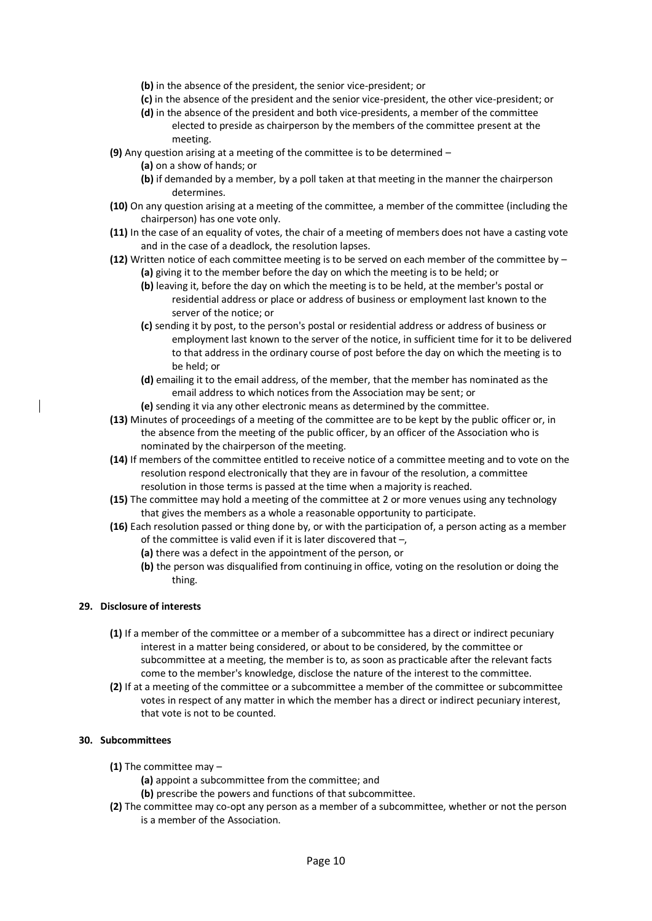- **(b)** in the absence of the president, the senior vice-president; or
- **(c)** in the absence of the president and the senior vice-president, the other vice-president; or
- **(d)** in the absence of the president and both vice-presidents, a member of the committee elected to preside as chairperson by the members of the committee present at the meeting.
- **(9)** Any question arising at a meeting of the committee is to be determined
	- **(a)** on a show of hands; or
	- **(b)** if demanded by a member, by a poll taken at that meeting in the manner the chairperson determines.
- **(10)** On any question arising at a meeting of the committee, a member of the committee (including the chairperson) has one vote only.
- **(11)** In the case of an equality of votes, the chair of a meeting of members does not have a casting vote and in the case of a deadlock, the resolution lapses.
- **(12)** Written notice of each committee meeting is to be served on each member of the committee by **(a)** giving it to the member before the day on which the meeting is to be held; or
	- **(b)** leaving it, before the day on which the meeting is to be held, at the member's postal or residential address or place or address of business or employment last known to the server of the notice; or
	- **(c)** sending it by post, to the person's postal or residential address or address of business or employment last known to the server of the notice, in sufficient time for it to be delivered to that address in the ordinary course of post before the day on which the meeting is to be held; or
	- **(d)** emailing it to the email address, of the member, that the member has nominated as the email address to which notices from the Association may be sent; or
	- **(e)** sending it via any other electronic means as determined by the committee.
- **(13)** Minutes of proceedings of a meeting of the committee are to be kept by the public officer or, in the absence from the meeting of the public officer, by an officer of the Association who is nominated by the chairperson of the meeting.
- **(14)** If members of the committee entitled to receive notice of a committee meeting and to vote on the resolution respond electronically that they are in favour of the resolution, a committee resolution in those terms is passed at the time when a majority is reached.
- **(15)** The committee may hold a meeting of the committee at 2 or more venues using any technology that gives the members as a whole a reasonable opportunity to participate.
- **(16)** Each resolution passed or thing done by, or with the participation of, a person acting as a member of the committee is valid even if it is later discovered that –,
	- **(a)** there was a defect in the appointment of the person, or
	- **(b)** the person was disqualified from continuing in office, voting on the resolution or doing the thing.

## **29. Disclosure of interests**

- **(1)** If a member of the committee or a member of a subcommittee has a direct or indirect pecuniary interest in a matter being considered, or about to be considered, by the committee or subcommittee at a meeting, the member is to, as soon as practicable after the relevant facts come to the member's knowledge, disclose the nature of the interest to the committee.
- **(2)** If at a meeting of the committee or a subcommittee a member of the committee or subcommittee votes in respect of any matter in which the member has a direct or indirect pecuniary interest, that vote is not to be counted.

#### **30. Subcommittees**

- **(1)** The committee may
	- **(a)** appoint a subcommittee from the committee; and
	- **(b)** prescribe the powers and functions of that subcommittee.
- **(2)** The committee may co-opt any person as a member of a subcommittee, whether or not the person is a member of the Association.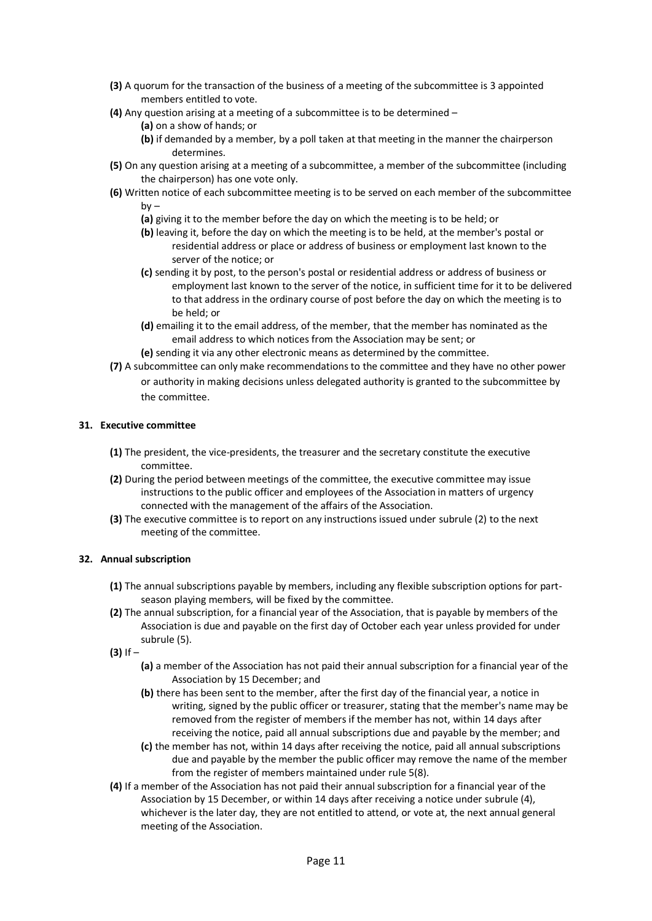- **(3)** A quorum for the transaction of the business of a meeting of the subcommittee is 3 appointed members entitled to vote.
- **(4)** Any question arising at a meeting of a subcommittee is to be determined
	- **(a)** on a show of hands; or
	- **(b)** if demanded by a member, by a poll taken at that meeting in the manner the chairperson determines.
- **(5)** On any question arising at a meeting of a subcommittee, a member of the subcommittee (including the chairperson) has one vote only.
- **(6)** Written notice of each subcommittee meeting is to be served on each member of the subcommittee  $hv -$ 
	- **(a)** giving it to the member before the day on which the meeting is to be held; or
	- **(b)** leaving it, before the day on which the meeting is to be held, at the member's postal or residential address or place or address of business or employment last known to the server of the notice; or
	- **(c)** sending it by post, to the person's postal or residential address or address of business or employment last known to the server of the notice, in sufficient time for it to be delivered to that address in the ordinary course of post before the day on which the meeting is to be held; or
	- **(d)** emailing it to the email address, of the member, that the member has nominated as the email address to which notices from the Association may be sent; or
	- **(e)** sending it via any other electronic means as determined by the committee.
- **(7)** A subcommittee can only make recommendations to the committee and they have no other power or authority in making decisions unless delegated authority is granted to the subcommittee by the committee.

## **31. Executive committee**

- **(1)** The president, the vice-presidents, the treasurer and the secretary constitute the executive committee.
- **(2)** During the period between meetings of the committee, the executive committee may issue instructions to the public officer and employees of the Association in matters of urgency connected with the management of the affairs of the Association.
- **(3)** The executive committee is to report on any instructions issued under subrule (2) to the next meeting of the committee.

#### **32. Annual subscription**

- **(1)** The annual subscriptions payable by members, including any flexible subscription options for partseason playing members, will be fixed by the committee.
- **(2)** The annual subscription, for a financial year of the Association, that is payable by members of the Association is due and payable on the first day of October each year unless provided for under subrule (5).
- **(3)** If
	- **(a)** a member of the Association has not paid their annual subscription for a financial year of the Association by 15 December; and
	- **(b)** there has been sent to the member, after the first day of the financial year, a notice in writing, signed by the public officer or treasurer, stating that the member's name may be removed from the register of members if the member has not, within 14 days after receiving the notice, paid all annual subscriptions due and payable by the member; and
	- **(c)** the member has not, within 14 days after receiving the notice, paid all annual subscriptions due and payable by the member the public officer may remove the name of the member from the register of members maintained under rule 5(8).
- **(4)** If a member of the Association has not paid their annual subscription for a financial year of the Association by 15 December, or within 14 days after receiving a notice under subrule (4), whichever is the later day, they are not entitled to attend, or vote at, the next annual general meeting of the Association.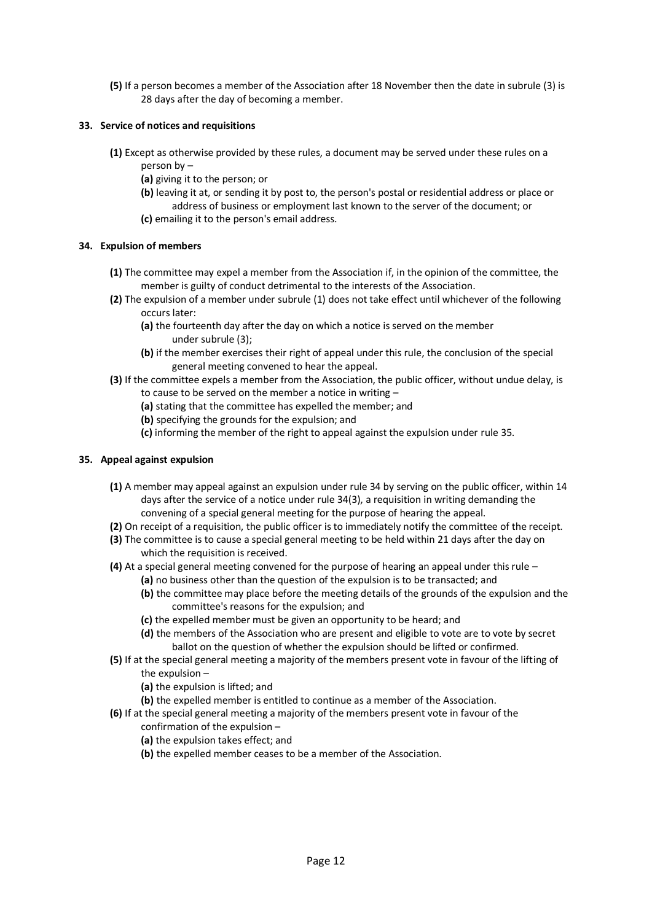**(5)** If a person becomes a member of the Association after 18 November then the date in subrule (3) is 28 days after the day of becoming a member.

## **33. Service of notices and requisitions**

- **(1)** Except as otherwise provided by these rules, a document may be served under these rules on a person by –
	- **(a)** giving it to the person; or
	- **(b)** leaving it at, or sending it by post to, the person's postal or residential address or place or address of business or employment last known to the server of the document; or **(c)** emailing it to the person's email address.
- 

## **34. Expulsion of members**

- **(1)** The committee may expel a member from the Association if, in the opinion of the committee, the member is guilty of conduct detrimental to the interests of the Association.
- **(2)** The expulsion of a member under subrule (1) does not take effect until whichever of the following occurs later:
	- **(a)** the fourteenth day after the day on which a notice is served on the member under subrule (3);
	- **(b)** if the member exercises their right of appeal under this rule, the conclusion of the special general meeting convened to hear the appeal.
- **(3)** If the committee expels a member from the Association, the public officer, without undue delay, is to cause to be served on the member a notice in writing –
	- **(a)** stating that the committee has expelled the member; and
	- **(b)** specifying the grounds for the expulsion; and
	- **(c)** informing the member of the right to appeal against the expulsion under rule 35.

## **35. Appeal against expulsion**

- **(1)** A member may appeal against an expulsion under rule 34 by serving on the public officer, within 14 days after the service of a notice under rule 34(3), a requisition in writing demanding the convening of a special general meeting for the purpose of hearing the appeal.
- **(2)** On receipt of a requisition, the public officer is to immediately notify the committee of the receipt.
- **(3)** The committee is to cause a special general meeting to be held within 21 days after the day on which the requisition is received.
- **(4)** At a special general meeting convened for the purpose of hearing an appeal under this rule
	- **(a)** no business other than the question of the expulsion is to be transacted; and
	- **(b)** the committee may place before the meeting details of the grounds of the expulsion and the committee's reasons for the expulsion; and
	- **(c)** the expelled member must be given an opportunity to be heard; and
	- **(d)** the members of the Association who are present and eligible to vote are to vote by secret ballot on the question of whether the expulsion should be lifted or confirmed.
- **(5)** If at the special general meeting a majority of the members present vote in favour of the lifting of the expulsion –
	- **(a)** the expulsion is lifted; and
	- **(b)** the expelled member is entitled to continue as a member of the Association.
- **(6)** If at the special general meeting a majority of the members present vote in favour of the
	- confirmation of the expulsion –
	- **(a)** the expulsion takes effect; and
	- **(b)** the expelled member ceases to be a member of the Association.